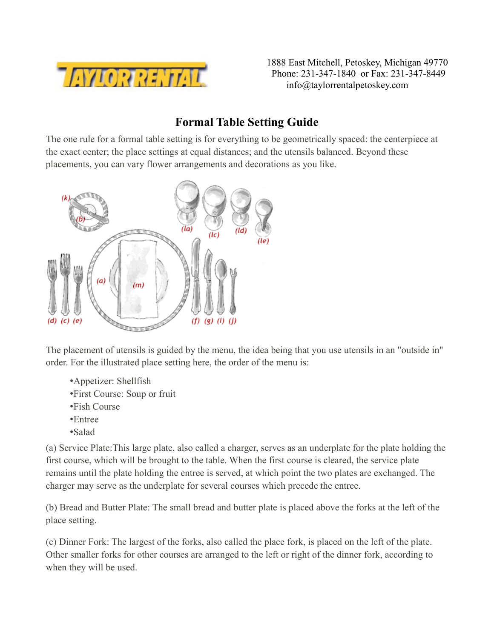

1888 East Mitchell, Petoskey, Michigan 49770 Phone: 231-347-1840 or Fax: 231-347-8449 info@taylorrentalpetoskey.com

## **Formal Table Setting Guide**

The one rule for a formal table setting is for everything to be geometrically spaced: the centerpiece at the exact center; the place settings at equal distances; and the utensils balanced. Beyond these placements, you can vary flower arrangements and decorations as you like.



The placement of utensils is guided by the menu, the idea being that you use utensils in an "outside in" order. For the illustrated place setting here, the order of the menu is:

- •Appetizer: Shellfish
- •First Course: Soup or fruit
- •Fish Course
- •Entree
- •Salad

(a) Service Plate:This large plate, also called a charger, serves as an underplate for the plate holding the first course, which will be brought to the table. When the first course is cleared, the service plate remains until the plate holding the entree is served, at which point the two plates are exchanged. The charger may serve as the underplate for several courses which precede the entree.

(b) Bread and Butter Plate: The small bread and butter plate is placed above the forks at the left of the place setting.

(c) Dinner Fork: The largest of the forks, also called the place fork, is placed on the left of the plate. Other smaller forks for other courses are arranged to the left or right of the dinner fork, according to when they will be used.